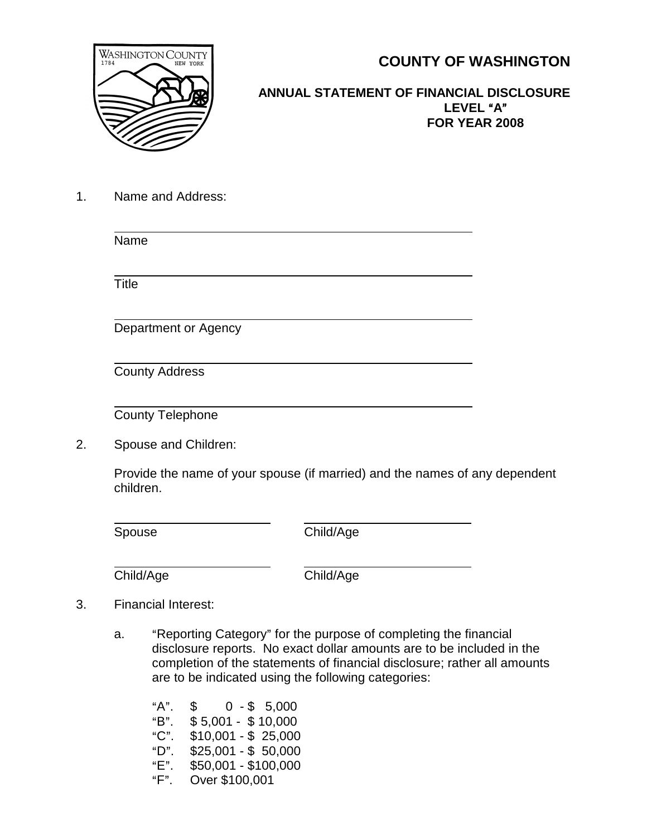

**COUNTY OF WASHINGTON**

## **ANNUAL STATEMENT OF FINANCIAL DISCLOSURE** LEVEL "A" **FOR YEAR 2008**

1. Name and Address:

 $\ddot{\phantom{a}}$ Name  $\overline{a}$ **Title**  $\overline{a}$ Department or Agency  $\overline{a}$ County Address  $\overline{a}$ 

County Telephone

2. Spouse and Children:

Provide the name of your spouse (if married) and the names of any dependent children.

 $\overline{a}$ 

Spouse Child/Age

 $\overline{a}$ Child/Age Child/Age

- 3. Financial Interest:
	- a. "Reporting Category" for the purpose of completing the financial disclosure reports. No exact dollar amounts are to be included in the completion of the statements of financial disclosure; rather all amounts are to be indicated using the following categories:

 $A$ ".  $\$$  0 - \$ 5,000<br>"B". \$ 5.001 - \$ 10.000  $$5,001 - $10,000$  $°C$ ". \$10,001 - \$ 25,000  $"D".$  \$25,001 - \$ 50,000 "E". \$50,001 - \$100,000<br>"F". Over \$100.001 Over \$100,001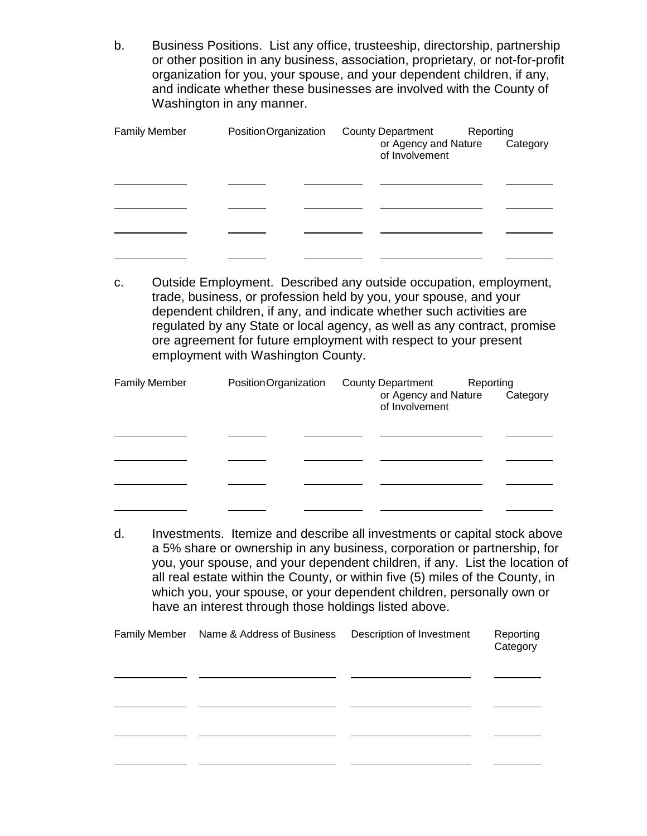b. Business Positions. List any office, trusteeship, directorship, partnership or other position in any business, association, proprietary, or not-for-profit organization for you, your spouse, and your dependent children, if any, and indicate whether these businesses are involved with the County of Washington in any manner.

| <b>Family Member</b> | PositionOrganization | <b>County Department</b><br>Reporting<br>or Agency and Nature<br>Category<br>of Involvement |
|----------------------|----------------------|---------------------------------------------------------------------------------------------|
|                      |                      |                                                                                             |
|                      |                      |                                                                                             |
|                      |                      |                                                                                             |
|                      |                      |                                                                                             |

c. Outside Employment. Described any outside occupation, employment, trade, business, or profession held by you, your spouse, and your dependent children, if any, and indicate whether such activities are regulated by any State or local agency, as well as any contract, promise ore agreement for future employment with respect to your present employment with Washington County.

| <b>Family Member</b> | PositionOrganization | <b>County Department</b><br>Reporting<br>or Agency and Nature<br>Category<br>of Involvement |
|----------------------|----------------------|---------------------------------------------------------------------------------------------|
|                      |                      |                                                                                             |
|                      |                      |                                                                                             |
|                      |                      |                                                                                             |
|                      |                      |                                                                                             |

d. Investments. Itemize and describe all investments or capital stock above a 5% share or ownership in any business, corporation or partnership, for you, your spouse, and your dependent children, if any. List the location of all real estate within the County, or within five (5) miles of the County, in which you, your spouse, or your dependent children, personally own or have an interest through those holdings listed above.

| <b>Family Member</b> | Name & Address of Business | Description of Investment | Reporting<br>Category |
|----------------------|----------------------------|---------------------------|-----------------------|
|                      |                            |                           |                       |
|                      |                            |                           |                       |
|                      |                            |                           |                       |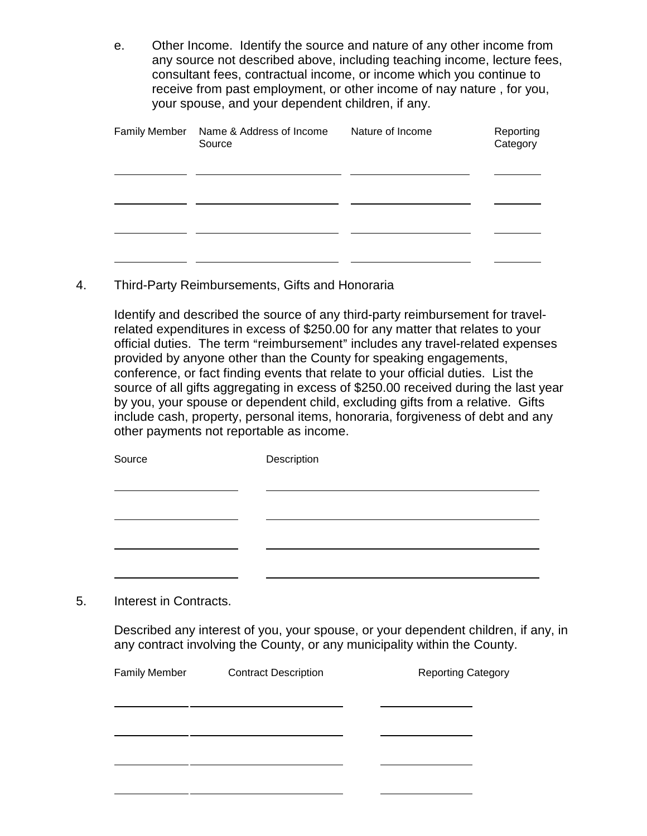e. Other Income. Identify the source and nature of any other income from any source not described above, including teaching income, lecture fees, consultant fees, contractual income, or income which you continue to receive from past employment, or other income of nay nature , for you, your spouse, and your dependent children, if any.

| <b>Family Member</b> | Name & Address of Income<br>Source | Nature of Income | Reporting<br>Category |
|----------------------|------------------------------------|------------------|-----------------------|
|                      |                                    |                  |                       |
|                      |                                    |                  |                       |
|                      |                                    |                  |                       |

4. Third-Party Reimbursements, Gifts and Honoraria

Identify and described the source of any third-party reimbursement for travelrelated expenditures in excess of \$250.00 for any matter that relates to your official duties. The term "reimbursement" includes any travel-related expenses provided by anyone other than the County for speaking engagements, conference, or fact finding events that relate to your official duties. List the source of all gifts aggregating in excess of \$250.00 received during the last year by you, your spouse or dependent child, excluding gifts from a relative. Gifts include cash, property, personal items, honoraria, forgiveness of debt and any other payments not reportable as income.

|    | Source                 | Description |
|----|------------------------|-------------|
|    |                        |             |
|    |                        |             |
|    |                        |             |
|    |                        |             |
|    |                        |             |
| 5. | Interest in Contracts. |             |

Described any interest of you, your spouse, or your dependent children, if any, in any contract involving the County, or any municipality within the County.

| <b>Family Member</b> | <b>Contract Description</b> | <b>Reporting Category</b> |
|----------------------|-----------------------------|---------------------------|
|                      |                             |                           |
|                      |                             |                           |
|                      |                             |                           |
|                      |                             |                           |
|                      |                             |                           |